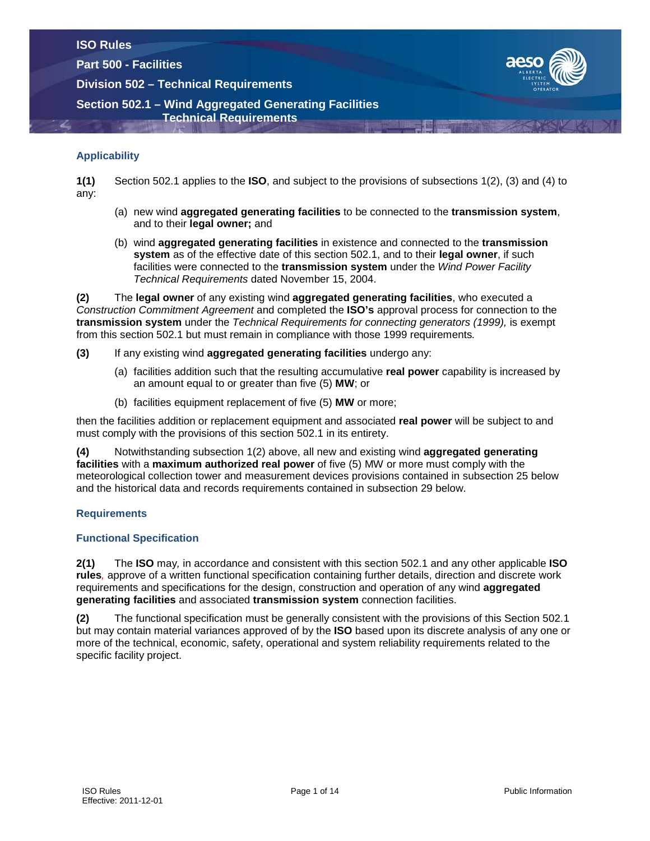**Part 500 - Facilities**

**Division 502 – Technical Requirements**



# **Section 502.1 – Wind Aggregated Generating Facilities Technical Requirements**

# **Applicability**

**1(1)** Section 502.1 applies to the **ISO**, and subject to the provisions of subsections 1(2), (3) and (4) to any:

- (a) new wind **aggregated generating facilities** to be connected to the **transmission system**, and to their **legal owner;** and
- (b) wind **aggregated generating facilities** in existence and connected to the **transmission system** as of the effective date of this section 502.1, and to their **legal owner**, if such facilities were connected to the **transmission system** under the *Wind Power Facility Technical Requirements* dated November 15, 2004.

**(2)** The **legal owner** of any existing wind **aggregated generating facilities**, who executed a *Construction Commitment Agreement* and completed the **ISO's** approval process for connection to the **transmission system** under the *Technical Requirements for connecting generators (1999),* is exempt from this section 502.1 but must remain in compliance with those 1999 requirements*.*

- **(3)** If any existing wind **aggregated generating facilities** undergo any:
	- (a) facilities addition such that the resulting accumulative **real power** capability is increased by an amount equal to or greater than five (5) **MW**; or
	- (b) facilities equipment replacement of five (5) **MW** or more;

then the facilities addition or replacement equipment and associated **real power** will be subject to and must comply with the provisions of this section 502.1 in its entirety.

**(4)** Notwithstanding subsection 1(2) above, all new and existing wind **aggregated generating facilities** with a **maximum authorized real power** of five (5) MW or more must comply with the meteorological collection tower and measurement devices provisions contained in subsection 25 below and the historical data and records requirements contained in subsection 29 below.

# **Requirements**

# **Functional Specification**

**2(1)** The **ISO** may*,* in accordance and consistent with this section 502.1 and any other applicable **ISO rules***,* approve of a written functional specification containing further details, direction and discrete work requirements and specifications for the design, construction and operation of any wind **aggregated generating facilities** and associated **transmission system** connection facilities.

**(2)** The functional specification must be generally consistent with the provisions of this Section 502.1 but may contain material variances approved of by the **ISO** based upon its discrete analysis of any one or more of the technical, economic, safety, operational and system reliability requirements related to the specific facility project.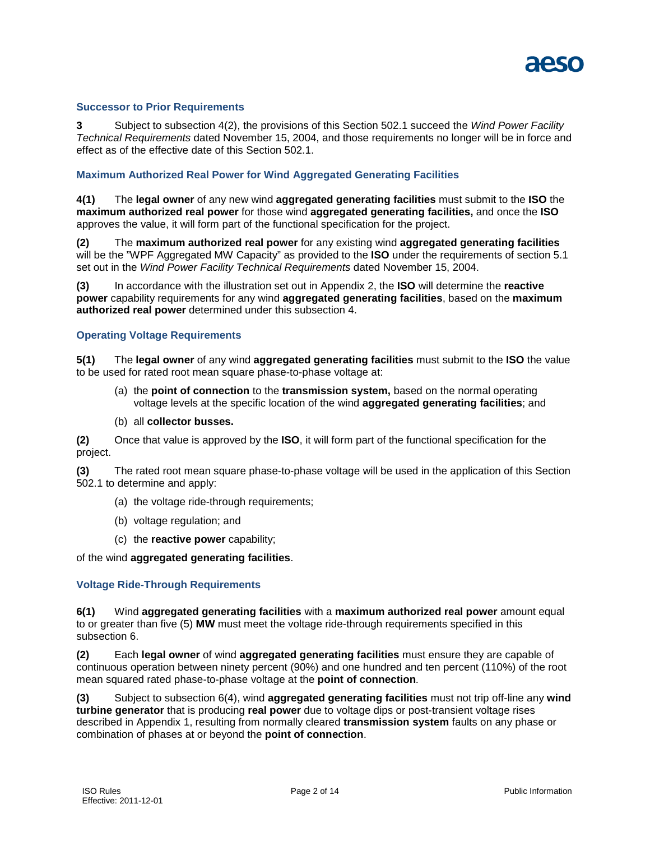

#### **Successor to Prior Requirements**

**3** Subject to subsection 4(2), the provisions of this Section 502.1 succeed the *Wind Power Facility Technical Requirements* dated November 15, 2004, and those requirements no longer will be in force and effect as of the effective date of this Section 502.1.

#### **Maximum Authorized Real Power for Wind Aggregated Generating Facilities**

**4(1)** The **legal owner** of any new wind **aggregated generating facilities** must submit to the **ISO** the **maximum authorized real power** for those wind **aggregated generating facilities,** and once the **ISO** approves the value, it will form part of the functional specification for the project.

**(2)** The **maximum authorized real power** for any existing wind **aggregated generating facilities** will be the "WPF Aggregated MW Capacity" as provided to the **ISO** under the requirements of section 5.1 set out in the *Wind Power Facility Technical Requirements* dated November 15, 2004.

**(3)** In accordance with the illustration set out in Appendix 2, the **ISO** will determine the **reactive power** capability requirements for any wind **aggregated generating facilities**, based on the **maximum authorized real power** determined under this subsection 4.

#### **Operating Voltage Requirements**

**5(1)** The **legal owner** of any wind **aggregated generating facilities** must submit to the **ISO** the value to be used for rated root mean square phase-to-phase voltage at:

- (a) the **point of connection** to the **transmission system,** based on the normal operating voltage levels at the specific location of the wind **aggregated generating facilities**; and
- (b) all **collector busses.**

**(2)** Once that value is approved by the **ISO**, it will form part of the functional specification for the project.

**(3)** The rated root mean square phase-to-phase voltage will be used in the application of this Section 502.1 to determine and apply:

- (a) the voltage ride-through requirements;
- (b) voltage regulation; and
- (c) the **reactive power** capability;

#### of the wind **aggregated generating facilities**.

# **Voltage Ride-Through Requirements**

**6(1)** Wind **aggregated generating facilities** with a **maximum authorized real power** amount equal to or greater than five (5) **MW** must meet the voltage ride-through requirements specified in this subsection 6.

**(2)** Each **legal owner** of wind **aggregated generating facilities** must ensure they are capable of continuous operation between ninety percent (90%) and one hundred and ten percent (110%) of the root mean squared rated phase-to-phase voltage at the **point of connection***.*

**(3)** Subject to subsection 6(4), wind **aggregated generating facilities** must not trip off-line any **wind turbine generator** that is producing **real power** due to voltage dips or post-transient voltage rises described in Appendix 1, resulting from normally cleared **transmission system** faults on any phase or combination of phases at or beyond the **point of connection**.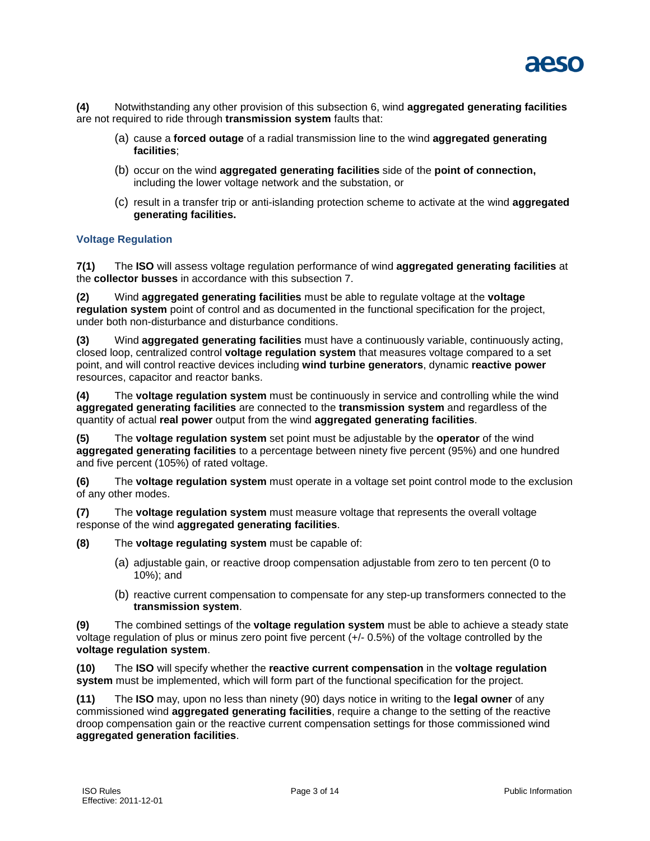

**(4)** Notwithstanding any other provision of this subsection 6, wind **aggregated generating facilities** are not required to ride through **transmission system** faults that:

- (a) cause a **forced outage** of a radial transmission line to the wind **aggregated generating facilities**;
- (b) occur on the wind **aggregated generating facilities** side of the **point of connection,** including the lower voltage network and the substation, or
- (c) result in a transfer trip or anti-islanding protection scheme to activate at the wind **aggregated generating facilities.**

# **Voltage Regulation**

**7(1)** The **ISO** will assess voltage regulation performance of wind **aggregated generating facilities** at the **collector busses** in accordance with this subsection 7.

**(2)** Wind **aggregated generating facilities** must be able to regulate voltage at the **voltage regulation system** point of control and as documented in the functional specification for the project, under both non-disturbance and disturbance conditions.

**(3)** Wind **aggregated generating facilities** must have a continuously variable, continuously acting, closed loop, centralized control **voltage regulation system** that measures voltage compared to a set point, and will control reactive devices including **wind turbine generators**, dynamic **reactive power**  resources, capacitor and reactor banks.

**(4)** The **voltage regulation system** must be continuously in service and controlling while the wind **aggregated generating facilities** are connected to the **transmission system** and regardless of the quantity of actual **real power** output from the wind **aggregated generating facilities**.

**(5)** The **voltage regulation system** set point must be adjustable by the **operator** of the wind **aggregated generating facilities** to a percentage between ninety five percent (95%) and one hundred and five percent (105%) of rated voltage.

**(6)** The **voltage regulation system** must operate in a voltage set point control mode to the exclusion of any other modes.

**(7)** The **voltage regulation system** must measure voltage that represents the overall voltage response of the wind **aggregated generating facilities**.

**(8)** The **voltage regulating system** must be capable of:

- (a) adjustable gain, or reactive droop compensation adjustable from zero to ten percent (0 to 10%); and
- (b) reactive current compensation to compensate for any step-up transformers connected to the **transmission system**.

**(9)** The combined settings of the **voltage regulation system** must be able to achieve a steady state voltage regulation of plus or minus zero point five percent (+/- 0.5%) of the voltage controlled by the **voltage regulation system**.

**(10)** The **ISO** will specify whether the **reactive current compensation** in the **voltage regulation system** must be implemented, which will form part of the functional specification for the project.

**(11)** The **ISO** may, upon no less than ninety (90) days notice in writing to the **legal owner** of any commissioned wind **aggregated generating facilities**, require a change to the setting of the reactive droop compensation gain or the reactive current compensation settings for those commissioned wind **aggregated generation facilities**.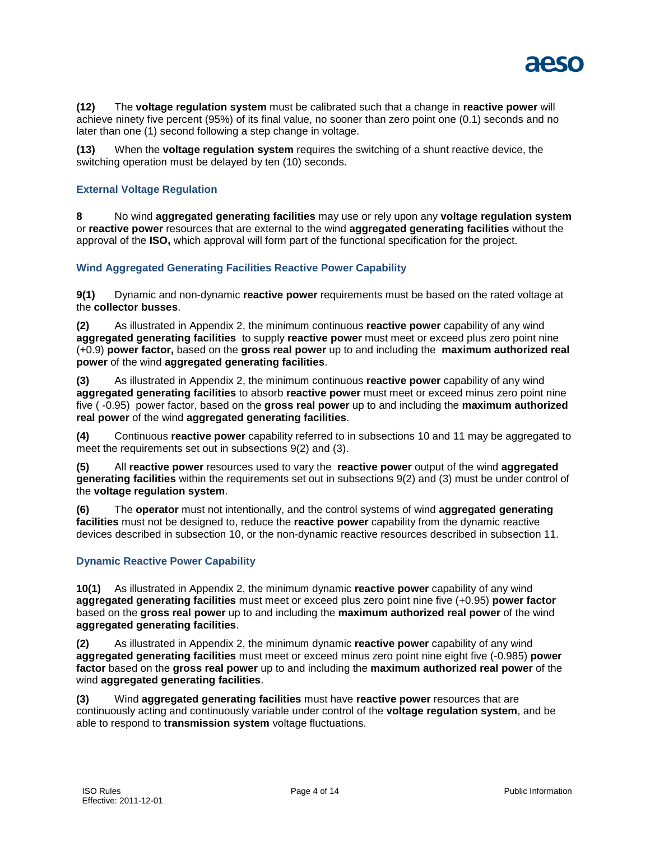

**(12)** The **voltage regulation system** must be calibrated such that a change in **reactive power** will achieve ninety five percent (95%) of its final value, no sooner than zero point one (0.1) seconds and no later than one (1) second following a step change in voltage.

**(13)** When the **voltage regulation system** requires the switching of a shunt reactive device, the switching operation must be delayed by ten (10) seconds.

# **External Voltage Regulation**

**8** No wind **aggregated generating facilities** may use or rely upon any **voltage regulation system** or **reactive power** resources that are external to the wind **aggregated generating facilities** without the approval of the **ISO,** which approval will form part of the functional specification for the project.

# **Wind Aggregated Generating Facilities Reactive Power Capability**

**9(1)** Dynamic and non-dynamic **reactive power** requirements must be based on the rated voltage at the **collector busses**.

**(2)** As illustrated in Appendix 2, the minimum continuous **reactive power** capability of any wind **aggregated generating facilities** to supply **reactive power** must meet or exceed plus zero point nine (+0.9) **power factor,** based on the **gross real power** up to and including the **maximum authorized real power** of the wind **aggregated generating facilities**.

**(3)** As illustrated in Appendix 2, the minimum continuous **reactive power** capability of any wind **aggregated generating facilities** to absorb **reactive power** must meet or exceed minus zero point nine five ( -0.95) power factor, based on the **gross real power** up to and including the **maximum authorized real power** of the wind **aggregated generating facilities**.

**(4)** Continuous **reactive power** capability referred to in subsections 10 and 11 may be aggregated to meet the requirements set out in subsections 9(2) and (3).

**(5)** All **reactive power** resources used to vary the **reactive power** output of the wind **aggregated generating facilities** within the requirements set out in subsections 9(2) and (3) must be under control of the **voltage regulation system**.

**(6)** The **operator** must not intentionally, and the control systems of wind **aggregated generating facilities** must not be designed to, reduce the **reactive power** capability from the dynamic reactive devices described in subsection 10, or the non-dynamic reactive resources described in subsection 11.

# **Dynamic Reactive Power Capability**

**10(1)** As illustrated in Appendix 2, the minimum dynamic **reactive power** capability of any wind **aggregated generating facilities** must meet or exceed plus zero point nine five (+0.95) **power factor** based on the **gross real power** up to and including the **maximum authorized real power** of the wind **aggregated generating facilities**.

**(2)** As illustrated in Appendix 2, the minimum dynamic **reactive power** capability of any wind **aggregated generating facilities** must meet or exceed minus zero point nine eight five (-0.985) **power factor** based on the **gross real power** up to and including the **maximum authorized real power** of the wind **aggregated generating facilities**.

**(3)** Wind **aggregated generating facilities** must have **reactive power** resources that are continuously acting and continuously variable under control of the **voltage regulation system**, and be able to respond to **transmission system** voltage fluctuations.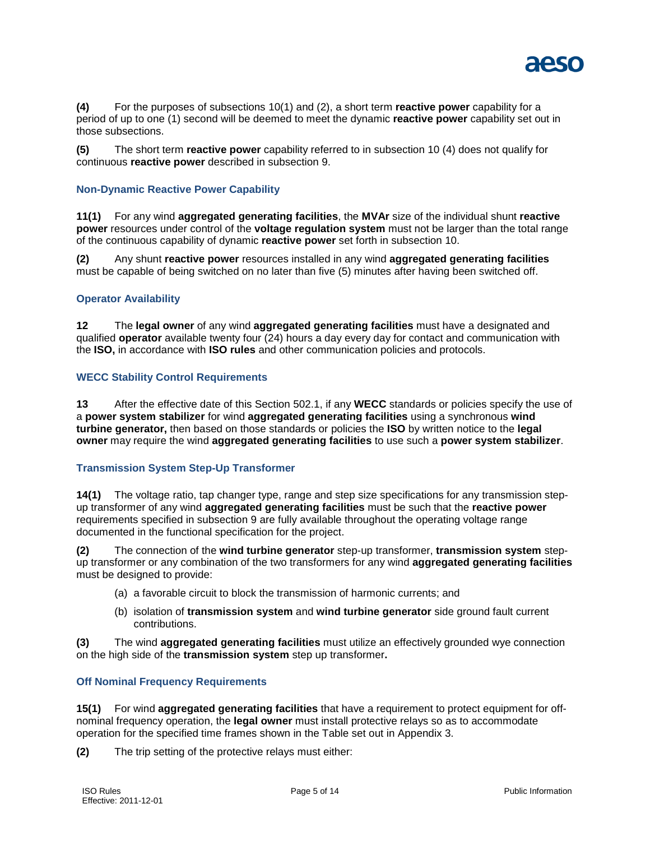

**(4)** For the purposes of subsections 10(1) and (2), a short term **reactive power** capability for a period of up to one (1) second will be deemed to meet the dynamic **reactive power** capability set out in those subsections.

**(5)** The short term **reactive power** capability referred to in subsection 10 (4) does not qualify for continuous **reactive power** described in subsection 9.

# **Non-Dynamic Reactive Power Capability**

**11(1)** For any wind **aggregated generating facilities**, the **MVAr** size of the individual shunt **reactive power** resources under control of the **voltage regulation system** must not be larger than the total range of the continuous capability of dynamic **reactive power** set forth in subsection 10.

**(2)** Any shunt **reactive power** resources installed in any wind **aggregated generating facilities** must be capable of being switched on no later than five (5) minutes after having been switched off.

#### **Operator Availability**

**12** The **legal owner** of any wind **aggregated generating facilities** must have a designated and qualified **operator** available twenty four (24) hours a day every day for contact and communication with the **ISO,** in accordance with **ISO rules** and other communication policies and protocols.

# **WECC Stability Control Requirements**

**13** After the effective date of this Section 502.1, if any **WECC** standards or policies specify the use of a **power system stabilizer** for wind **aggregated generating facilities** using a synchronous **wind turbine generator,** then based on those standards or policies the **ISO** by written notice to the **legal owner** may require the wind **aggregated generating facilities** to use such a **power system stabilizer**.

# **Transmission System Step-Up Transformer**

**14(1)** The voltage ratio, tap changer type, range and step size specifications for any transmission stepup transformer of any wind **aggregated generating facilities** must be such that the **reactive power** requirements specified in subsection 9 are fully available throughout the operating voltage range documented in the functional specification for the project.

**(2)** The connection of the **wind turbine generator** step-up transformer, **transmission system** stepup transformer or any combination of the two transformers for any wind **aggregated generating facilities** must be designed to provide:

- (a) a favorable circuit to block the transmission of harmonic currents; and
- (b) isolation of **transmission system** and **wind turbine generator** side ground fault current contributions.

**(3)** The wind **aggregated generating facilities** must utilize an effectively grounded wye connection on the high side of the **transmission system** step up transformer**.**

# **Off Nominal Frequency Requirements**

**15(1)** For wind **aggregated generating facilities** that have a requirement to protect equipment for offnominal frequency operation, the **legal owner** must install protective relays so as to accommodate operation for the specified time frames shown in the Table set out in Appendix 3.

**(2)** The trip setting of the protective relays must either: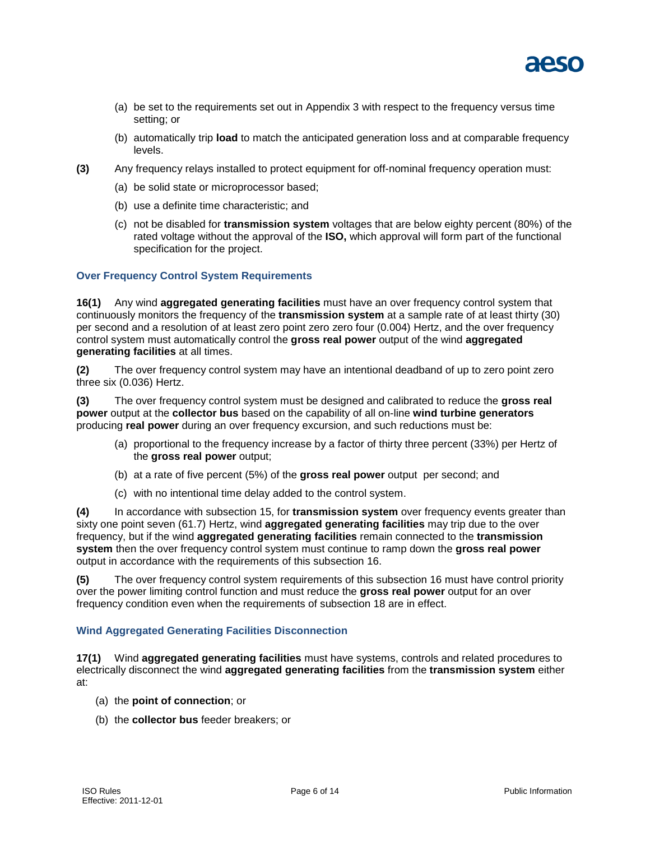

- (a) be set to the requirements set out in Appendix 3 with respect to the frequency versus time setting; or
- (b) automatically trip **load** to match the anticipated generation loss and at comparable frequency levels.
- **(3)** Any frequency relays installed to protect equipment for off-nominal frequency operation must:
	- (a) be solid state or microprocessor based;
	- (b) use a definite time characteristic; and
	- (c) not be disabled for **transmission system** voltages that are below eighty percent (80%) of the rated voltage without the approval of the **ISO,** which approval will form part of the functional specification for the project.

# **Over Frequency Control System Requirements**

**16(1)** Any wind **aggregated generating facilities** must have an over frequency control system that continuously monitors the frequency of the **transmission system** at a sample rate of at least thirty (30) per second and a resolution of at least zero point zero zero four (0.004) Hertz, and the over frequency control system must automatically control the **gross real power** output of the wind **aggregated generating facilities** at all times.

**(2)** The over frequency control system may have an intentional deadband of up to zero point zero three six (0.036) Hertz.

**(3)** The over frequency control system must be designed and calibrated to reduce the **gross real power** output at the **collector bus** based on the capability of all on-line **wind turbine generators** producing **real power** during an over frequency excursion, and such reductions must be:

- (a) proportional to the frequency increase by a factor of thirty three percent (33%) per Hertz of the **gross real power** output;
- (b) at a rate of five percent (5%) of the **gross real power** output per second; and
- (c) with no intentional time delay added to the control system.

**(4)** In accordance with subsection 15, for **transmission system** over frequency events greater than sixty one point seven (61.7) Hertz, wind **aggregated generating facilities** may trip due to the over frequency, but if the wind **aggregated generating facilities** remain connected to the **transmission system** then the over frequency control system must continue to ramp down the **gross real power** output in accordance with the requirements of this subsection 16.

**(5)** The over frequency control system requirements of this subsection 16 must have control priority over the power limiting control function and must reduce the **gross real power** output for an over frequency condition even when the requirements of subsection 18 are in effect.

# **Wind Aggregated Generating Facilities Disconnection**

**17(1)** Wind **aggregated generating facilities** must have systems, controls and related procedures to electrically disconnect the wind **aggregated generating facilities** from the **transmission system** either at:

- (a) the **point of connection**; or
- (b) the **collector bus** feeder breakers; or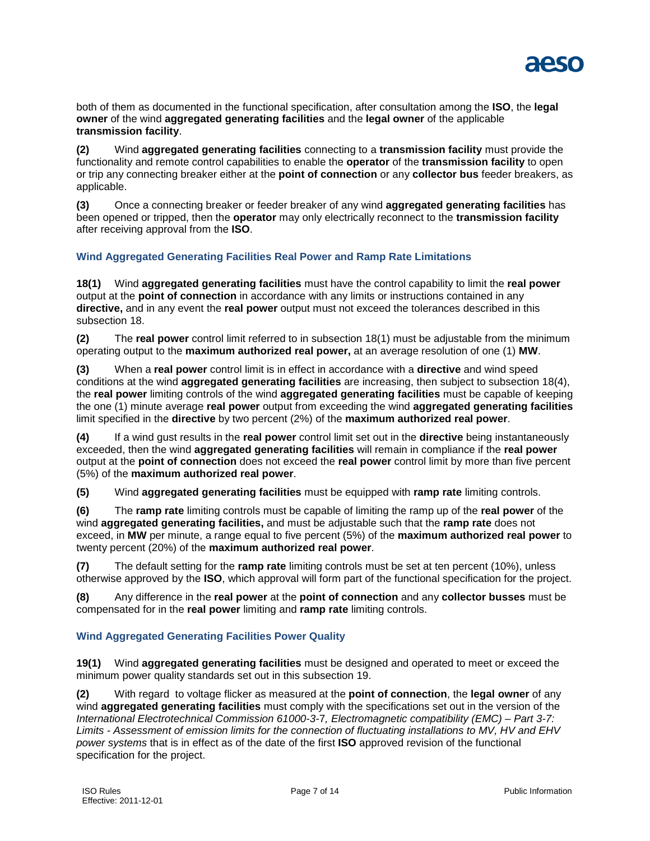

both of them as documented in the functional specification, after consultation among the **ISO**, the **legal owner** of the wind **aggregated generating facilities** and the **legal owner** of the applicable **transmission facility**.

**(2)** Wind **aggregated generating facilities** connecting to a **transmission facility** must provide the functionality and remote control capabilities to enable the **operator** of the **transmission facility** to open or trip any connecting breaker either at the **point of connection** or any **collector bus** feeder breakers, as applicable.

**(3)** Once a connecting breaker or feeder breaker of any wind **aggregated generating facilities** has been opened or tripped, then the **operator** may only electrically reconnect to the **transmission facility** after receiving approval from the **ISO**.

# **Wind Aggregated Generating Facilities Real Power and Ramp Rate Limitations**

**18(1)** Wind **aggregated generating facilities** must have the control capability to limit the **real power** output at the **point of connection** in accordance with any limits or instructions contained in any **directive,** and in any event the **real power** output must not exceed the tolerances described in this subsection 18.

**(2)** The **real power** control limit referred to in subsection 18(1) must be adjustable from the minimum operating output to the **maximum authorized real power,** at an average resolution of one (1) **MW**.

**(3)** When a **real power** control limit is in effect in accordance with a **directive** and wind speed conditions at the wind **aggregated generating facilities** are increasing, then subject to subsection 18(4), the **real power** limiting controls of the wind **aggregated generating facilities** must be capable of keeping the one (1) minute average **real power** output from exceeding the wind **aggregated generating facilities** limit specified in the **directive** by two percent (2%) of the **maximum authorized real power**.

**(4)** If a wind gust results in the **real power** control limit set out in the **directive** being instantaneously exceeded, then the wind **aggregated generating facilities** will remain in compliance if the **real power** output at the **point of connection** does not exceed the **real power** control limit by more than five percent (5%) of the **maximum authorized real power**.

**(5)** Wind **aggregated generating facilities** must be equipped with **ramp rate** limiting controls.

**(6)** The **ramp rate** limiting controls must be capable of limiting the ramp up of the **real power** of the wind **aggregated generating facilities,** and must be adjustable such that the **ramp rate** does not exceed, in **MW** per minute, a range equal to five percent (5%) of the **maximum authorized real power** to twenty percent (20%) of the **maximum authorized real power**.

**(7)** The default setting for the **ramp rate** limiting controls must be set at ten percent (10%), unless otherwise approved by the **ISO**, which approval will form part of the functional specification for the project.

**(8)** Any difference in the **real power** at the **point of connection** and any **collector busses** must be compensated for in the **real power** limiting and **ramp rate** limiting controls.

# **Wind Aggregated Generating Facilities Power Quality**

**19(1)** Wind **aggregated generating facilities** must be designed and operated to meet or exceed the minimum power quality standards set out in this subsection 19.

**(2)** With regard to voltage flicker as measured at the **point of connection**, the **legal owner** of any wind **aggregated generating facilities** must comply with the specifications set out in the version of the *International Electrotechnical Commission 61000-3-*7*, Electromagnetic compatibility (EMC) – Part 3-7: Limits - Assessment of emission limits for the connection of fluctuating installations to MV, HV and EHV power systems* that is in effect as of the date of the first **ISO** approved revision of the functional specification for the project.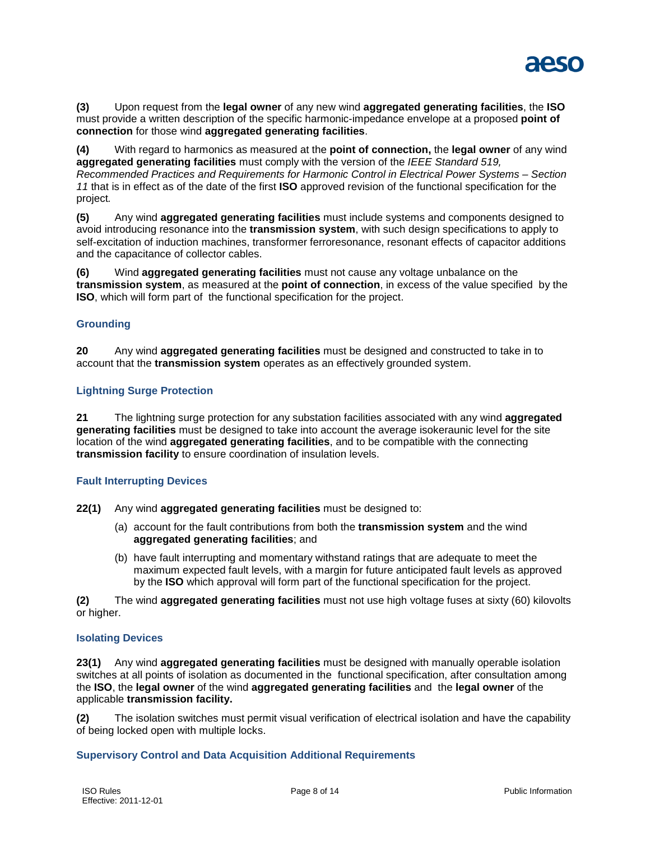

**(3)** Upon request from the **legal owner** of any new wind **aggregated generating facilities**, the **ISO** must provide a written description of the specific harmonic-impedance envelope at a proposed **point of connection** for those wind **aggregated generating facilities**.

**(4)** With regard to harmonics as measured at the **point of connection,** the **legal owner** of any wind **aggregated generating facilities** must comply with the version of the *IEEE Standard 519, Recommended Practices and Requirements for Harmonic Control in Electrical Power Systems – Section 11* that is in effect as of the date of the first **ISO** approved revision of the functional specification for the project*.*

**(5)** Any wind **aggregated generating facilities** must include systems and components designed to avoid introducing resonance into the **transmission system**, with such design specifications to apply to self-excitation of induction machines, transformer ferroresonance, resonant effects of capacitor additions and the capacitance of collector cables.

**(6)** Wind **aggregated generating facilities** must not cause any voltage unbalance on the **transmission system**, as measured at the **point of connection**, in excess of the value specified by the **ISO**, which will form part of the functional specification for the project.

# **Grounding**

**20** Any wind **aggregated generating facilities** must be designed and constructed to take in to account that the **transmission system** operates as an effectively grounded system.

# **Lightning Surge Protection**

**21** The lightning surge protection for any substation facilities associated with any wind **aggregated generating facilities** must be designed to take into account the average isokeraunic level for the site location of the wind **aggregated generating facilities**, and to be compatible with the connecting **transmission facility** to ensure coordination of insulation levels.

# **Fault Interrupting Devices**

**22(1)** Any wind **aggregated generating facilities** must be designed to:

- (a) account for the fault contributions from both the **transmission system** and the wind **aggregated generating facilities**; and
- (b) have fault interrupting and momentary withstand ratings that are adequate to meet the maximum expected fault levels, with a margin for future anticipated fault levels as approved by the **ISO** which approval will form part of the functional specification for the project.

**(2)** The wind **aggregated generating facilities** must not use high voltage fuses at sixty (60) kilovolts or higher.

# **Isolating Devices**

**23(1)** Any wind **aggregated generating facilities** must be designed with manually operable isolation switches at all points of isolation as documented in the functional specification, after consultation among the **ISO**, the **legal owner** of the wind **aggregated generating facilities** and the **legal owner** of the applicable **transmission facility.**

**(2)** The isolation switches must permit visual verification of electrical isolation and have the capability of being locked open with multiple locks.

# **Supervisory Control and Data Acquisition Additional Requirements**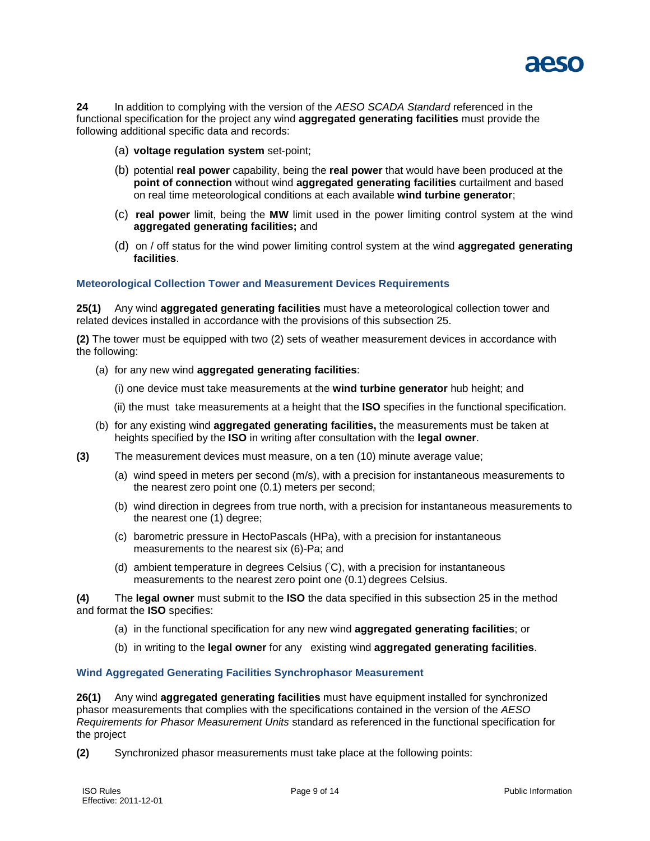

**24** In addition to complying with the version of the *AESO SCADA Standard* referenced in the functional specification for the project any wind **aggregated generating facilities** must provide the following additional specific data and records:

- (a) **voltage regulation system** set-point;
- (b) potential **real power** capability, being the **real power** that would have been produced at the **point of connection** without wind **aggregated generating facilities** curtailment and based on real time meteorological conditions at each available **wind turbine generator**;
- (c) **real power** limit, being the **MW** limit used in the power limiting control system at the wind **aggregated generating facilities;** and
- (d) on / off status for the wind power limiting control system at the wind **aggregated generating facilities**.

#### **Meteorological Collection Tower and Measurement Devices Requirements**

**25(1)** Any wind **aggregated generating facilities** must have a meteorological collection tower and related devices installed in accordance with the provisions of this subsection 25.

**(2)** The tower must be equipped with two (2) sets of weather measurement devices in accordance with the following:

(a) for any new wind **aggregated generating facilities**:

(i) one device must take measurements at the **wind turbine generator** hub height; and

- (ii) the must take measurements at a height that the **ISO** specifies in the functional specification.
- (b) for any existing wind **aggregated generating facilities,** the measurements must be taken at heights specified by the **ISO** in writing after consultation with the **legal owner**.
- **(3)** The measurement devices must measure, on a ten (10) minute average value;
	- (a) wind speed in meters per second (m/s), with a precision for instantaneous measurements to the nearest zero point one (0.1) meters per second;
	- (b) wind direction in degrees from true north, with a precision for instantaneous measurements to the nearest one (1) degree;
	- (c) barometric pressure in HectoPascals (HPa), with a precision for instantaneous measurements to the nearest six (6)-Pa; and
	- (d) ambient temperature in degrees Celsius (°C), with a precision for instantaneous measurements to the nearest zero point one (0.1) degrees Celsius.

**(4)** The **legal owner** must submit to the **ISO** the data specified in this subsection 25 in the method and format the **ISO** specifies:

- (a) in the functional specification for any new wind **aggregated generating facilities**; or
- (b) in writing to the **legal owner** for any existing wind **aggregated generating facilities**.

# **Wind Aggregated Generating Facilities Synchrophasor Measurement**

**26(1)** Any wind **aggregated generating facilities** must have equipment installed for synchronized phasor measurements that complies with the specifications contained in the version of the *AESO Requirements for Phasor Measurement Units* standard as referenced in the functional specification for the project

**(2)** Synchronized phasor measurements must take place at the following points: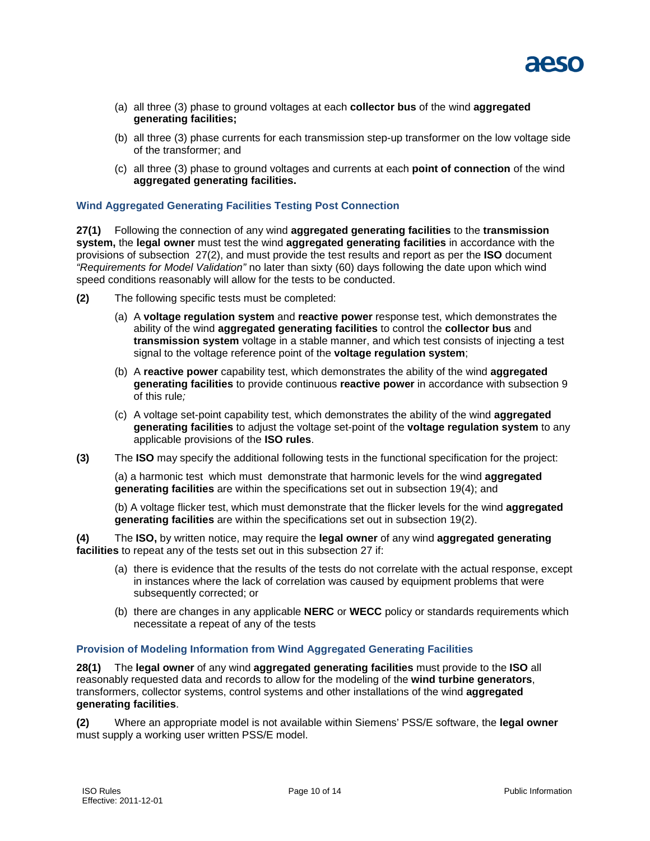

- (a) all three (3) phase to ground voltages at each **collector bus** of the wind **aggregated generating facilities;**
- (b) all three (3) phase currents for each transmission step-up transformer on the low voltage side of the transformer; and
- (c) all three (3) phase to ground voltages and currents at each **point of connection** of the wind **aggregated generating facilities.**

#### **Wind Aggregated Generating Facilities Testing Post Connection**

**27(1)** Following the connection of any wind **aggregated generating facilities** to the **transmission system,** the **legal owner** must test the wind **aggregated generating facilities** in accordance with the provisions of subsection 27(2), and must provide the test results and report as per the **ISO** document *"Requirements for Model Validation"* no later than sixty (60) days following the date upon which wind speed conditions reasonably will allow for the tests to be conducted.

- **(2)** The following specific tests must be completed:
	- (a) A **voltage regulation system** and **reactive power** response test, which demonstrates the ability of the wind **aggregated generating facilities** to control the **collector bus** and **transmission system** voltage in a stable manner, and which test consists of injecting a test signal to the voltage reference point of the **voltage regulation system**;
	- (b) A **reactive power** capability test, which demonstrates the ability of the wind **aggregated generating facilities** to provide continuous **reactive power** in accordance with subsection 9 of this rule*;*
	- (c) A voltage set-point capability test, which demonstrates the ability of the wind **aggregated generating facilities** to adjust the voltage set-point of the **voltage regulation system** to any applicable provisions of the **ISO rules**.
- **(3)** The **ISO** may specify the additional following tests in the functional specification for the project:

(a) a harmonic test which must demonstrate that harmonic levels for the wind **aggregated generating facilities** are within the specifications set out in subsection 19(4); and

(b) A voltage flicker test, which must demonstrate that the flicker levels for the wind **aggregated generating facilities** are within the specifications set out in subsection 19(2).

**(4)** The **ISO,** by written notice, may require the **legal owner** of any wind **aggregated generating facilities** to repeat any of the tests set out in this subsection 27 if:

- (a) there is evidence that the results of the tests do not correlate with the actual response, except in instances where the lack of correlation was caused by equipment problems that were subsequently corrected; or
- (b) there are changes in any applicable **NERC** or **WECC** policy or standards requirements which necessitate a repeat of any of the tests

#### **Provision of Modeling Information from Wind Aggregated Generating Facilities**

**28(1)** The **legal owner** of any wind **aggregated generating facilities** must provide to the **ISO** all reasonably requested data and records to allow for the modeling of the **wind turbine generators**, transformers, collector systems, control systems and other installations of the wind **aggregated generating facilities**.

**(2)** Where an appropriate model is not available within Siemens' PSS/E software, the **legal owner**  must supply a working user written PSS/E model.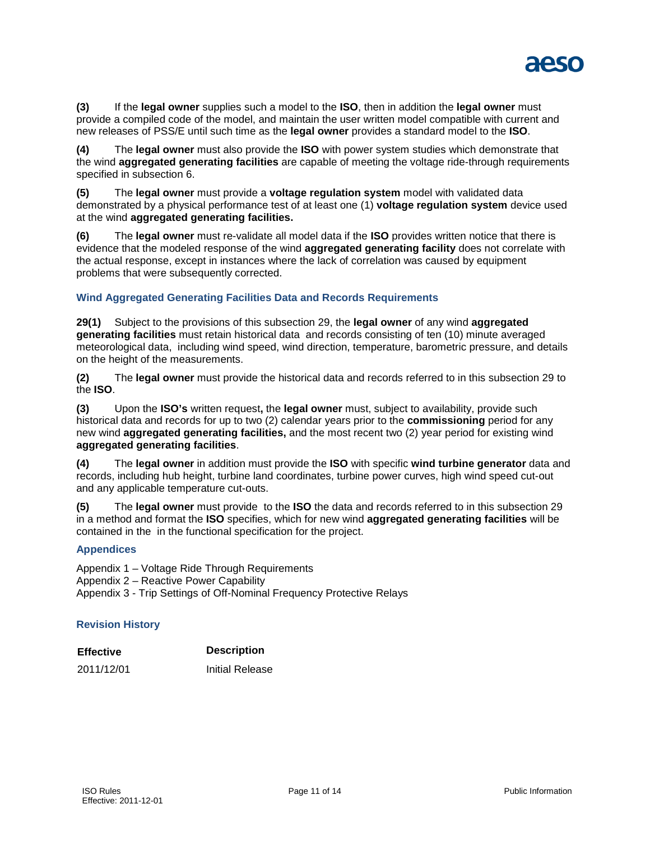

**(3)** If the **legal owner** supplies such a model to the **ISO**, then in addition the **legal owner** must provide a compiled code of the model, and maintain the user written model compatible with current and new releases of PSS/E until such time as the **legal owner** provides a standard model to the **ISO**.

**(4)** The **legal owner** must also provide the **ISO** with power system studies which demonstrate that the wind **aggregated generating facilities** are capable of meeting the voltage ride-through requirements specified in subsection 6.

**(5)** The **legal owner** must provide a **voltage regulation system** model with validated data demonstrated by a physical performance test of at least one (1) **voltage regulation system** device used at the wind **aggregated generating facilities.**

**(6)** The **legal owner** must re-validate all model data if the **ISO** provides written notice that there is evidence that the modeled response of the wind **aggregated generating facility** does not correlate with the actual response, except in instances where the lack of correlation was caused by equipment problems that were subsequently corrected.

# **Wind Aggregated Generating Facilities Data and Records Requirements**

**29(1)** Subject to the provisions of this subsection 29, the **legal owner** of any wind **aggregated generating facilities** must retain historical data and records consisting of ten (10) minute averaged meteorological data, including wind speed, wind direction, temperature, barometric pressure, and details on the height of the measurements.

**(2)** The **legal owner** must provide the historical data and records referred to in this subsection 29 to the **ISO**.

**(3)** Upon the **ISO's** written request**,** the **legal owner** must, subject to availability, provide such historical data and records for up to two (2) calendar years prior to the **commissioning** period for any new wind **aggregated generating facilities,** and the most recent two (2) year period for existing wind **aggregated generating facilities**.

**(4)** The **legal owner** in addition must provide the **ISO** with specific **wind turbine generator** data and records, including hub height, turbine land coordinates, turbine power curves, high wind speed cut-out and any applicable temperature cut-outs.

**(5)** The **legal owner** must provide to the **ISO** the data and records referred to in this subsection 29 in a method and format the **ISO** specifies, which for new wind **aggregated generating facilities** will be contained in the in the functional specification for the project.

# **Appendices**

Appendix 1 – Voltage Ride Through Requirements

Appendix 2 – Reactive Power Capability

Appendix 3 - Trip Settings of Off-Nominal Frequency Protective Relays

# **Revision History**

| <b>Effective</b> | <b>Description</b>     |
|------------------|------------------------|
| 2011/12/01       | <b>Initial Release</b> |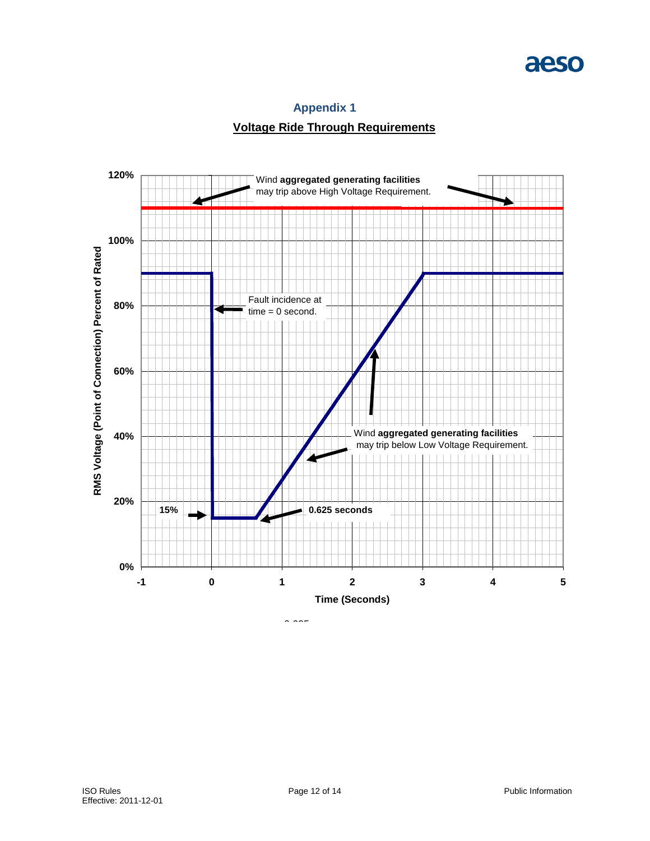# aeso

# **Appendix 1**

# **Voltage Ride Through Requirements**

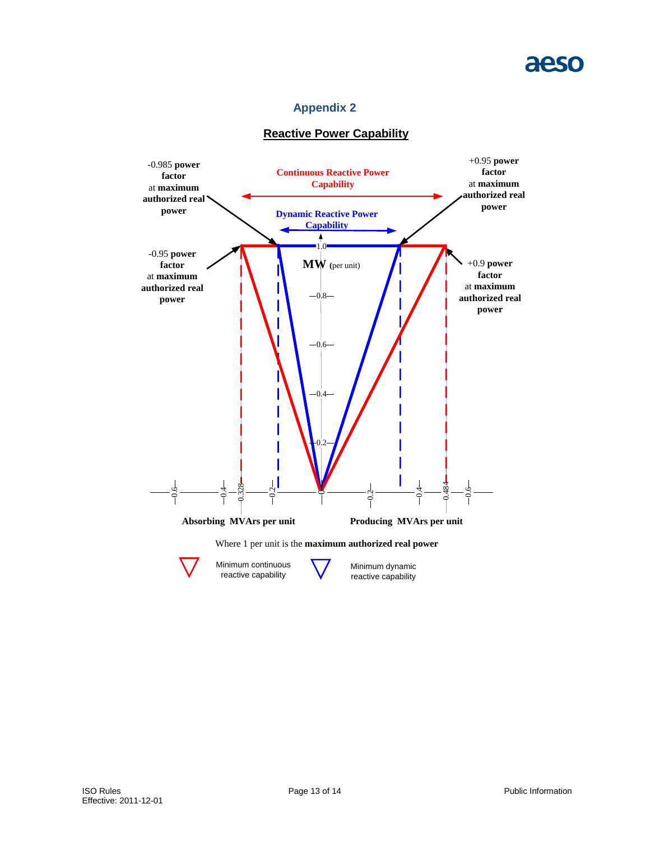# **Appendix 2**

# **Reactive Power Capability**